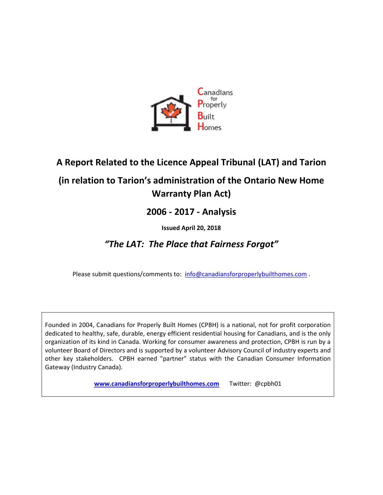

# **A Report Related to the Licence Appeal Tribunal (LAT) and Tarion**

# **(in relation to Tarion's administration of the Ontario New Home Warranty Plan Act)**

## **2006 - 2017 - Analysis**

### **Issued April 20, 2018**

## *"The LAT: The Place that Fairness Forgot"*

Please submit questions/comments to: [info@canadiansforproperlybuilthomes.com](mailto:info@canadiansforproperlybuilthomes.com).

Founded in 2004, Canadians for Properly Built Homes (CPBH) is a national, not for profit corporation dedicated to healthy, safe, durable, energy efficient residential housing for Canadians, and is the only organization of its kind in Canada. Working for consumer awareness and protection, CPBH is run by a volunteer Board of Directors and is supported by a volunteer Advisory Council of industry experts and other key stakeholders. CPBH earned "partner" status with the Canadian Consumer Information Gateway (Industry Canada).

**[www.canadiansforproperlybuilthomes.com](http://www.canadiansforproperlybuilthomes.com/)** Twitter: @cpbh01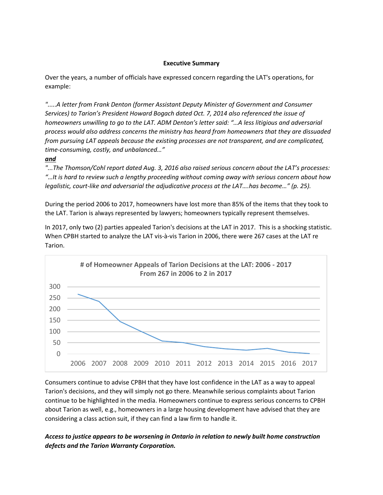#### **Executive Summary**

Over the years, a number of officials have expressed concern regarding the LAT's operations, for example:

".....A letter from Frank Denton (former Assistant Deputy Minister of Government and Consumer *Services) to Tarion's President Howard Bogach dated Oct. 7, 2014 also referenced the issue of homeowners unwilling to go to the LAT. ADM Denton's letter said: "…A less litigious and adversarial process would also address concerns the ministry has heard from homeowners that they are dissuaded from pursuing LAT appeals because the existing processes are not transparent, and are complicated, time-consuming, costly, and unbalanced…"* 

#### *and*

*"...The Thomson/Cohl report dated Aug. 3, 2016 also raised serious concern about the LAT's processes: "…It is hard to review such a lengthy proceeding without coming away with serious concern about how legalistic, court-like and adversarial the adjudicative process at the LAT….has become…" (p. 25).* 

During the period 2006 to 2017, homeowners have lost more than 85% of the items that they took to the LAT. Tarion is always represented by lawyers; homeowners typically represent themselves.

In 2017, only two (2) parties appealed Tarion's decisions at the LAT in 2017. This is a shocking statistic. When CPBH started to analyze the LAT vis-à-vis Tarion in 2006, there were 267 cases at the LAT re Tarion.



Consumers continue to advise CPBH that they have lost confidence in the LAT as a way to appeal Tarion's decisions, and they will simply not go there. Meanwhile serious complaints about Tarion continue to be highlighted in the media. Homeowners continue to express serious concerns to CPBH about Tarion as well, e.g., homeowners in a large housing development have advised that they are considering a class action suit, if they can find a law firm to handle it.

### *Access to justice appears to be worsening in Ontario in relation to newly built home construction defects and the Tarion Warranty Corporation.*